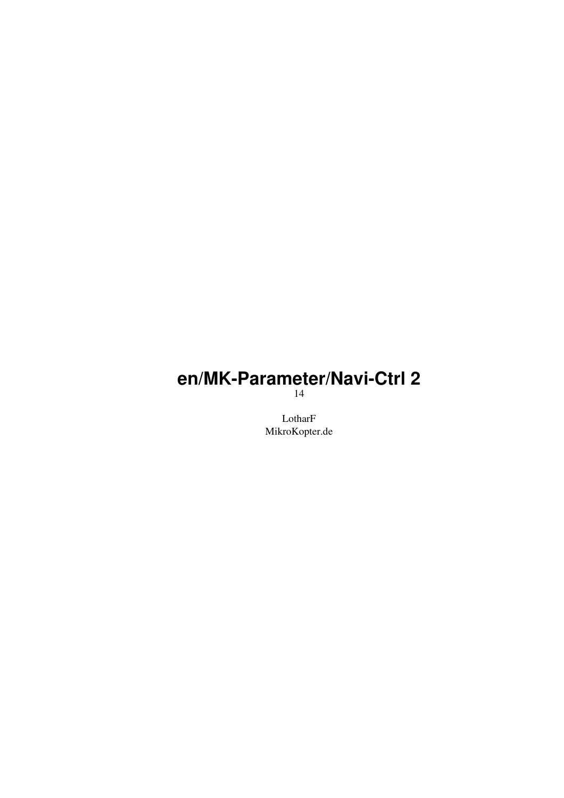# **en/MK-Parameter/Navi-Ctrl 2**

14

LotharF MikroKopter.de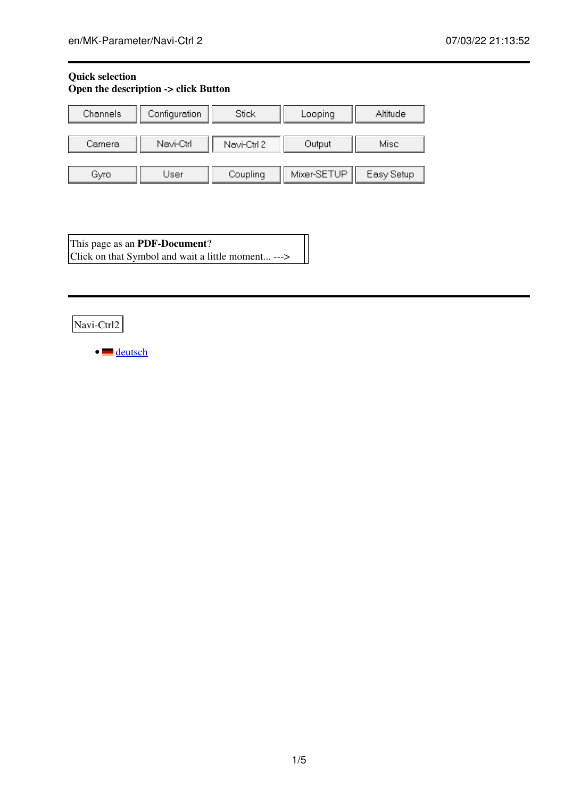# **Quick selection Open the description -> click Button**

| Channels | Configuration | Stick       | Looping     | Altitude   |  |
|----------|---------------|-------------|-------------|------------|--|
| Camera   | Navi-Ctrl     | Navi-Ctrl 2 | Output      | Misc       |  |
| Gyro     | User          | Coupling    | Mixer-SETUP | Easy Setup |  |

This page as an **PDF-Document**? Click on that Symbol and wait a little moment... --->

Navi-Ctrl2

• [deutsch](https://wiki.mikrokopter.de/MK-Parameter/Navi-Ctrl%202)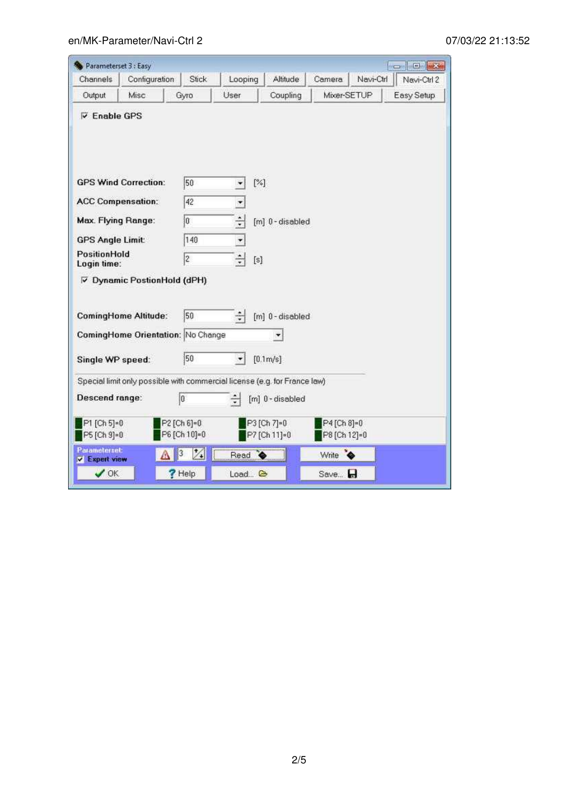| Parameterset 3 : Easy                        |                                    |                                                                           |                          |                             |                             |           | <b>TOTAL</b> |
|----------------------------------------------|------------------------------------|---------------------------------------------------------------------------|--------------------------|-----------------------------|-----------------------------|-----------|--------------|
| Channels                                     | Configuration                      | Stick                                                                     | Looping                  | <b>Altitude</b>             | Camera                      | Navi-Ctrl | Navi-Ctrl 2  |
| Output                                       | Misc                               | Gyro                                                                      | User                     | Coupling                    | Mixer-SETUP                 |           | Easy Setup   |
| <b>V</b> Enable GPS                          |                                    |                                                                           |                          |                             |                             |           |              |
|                                              | <b>GPS Wind Correction:</b>        | 50                                                                        |                          | [%]                         |                             |           |              |
| <b>ACC Compensation:</b>                     |                                    | 42                                                                        | $\overline{ }$           |                             |                             |           |              |
| <b>Max. Flying Range:</b>                    |                                    | o                                                                         | ÷                        | [m] 0-disabled              |                             |           |              |
| <b>GPS Angle Limit:</b>                      |                                    | 140                                                                       | $\overline{\phantom{a}}$ |                             |                             |           |              |
| PositionHold<br>Login time:                  |                                    | 2                                                                         | ÷<br>[s]                 |                             |                             |           |              |
|                                              | <b>▽ Dynamic PostionHold (dPH)</b> |                                                                           |                          |                             |                             |           |              |
|                                              | <b>ComingHome Altitude:</b>        | 50                                                                        | ÷                        | [m] 0-disabled              |                             |           |              |
|                                              |                                    | ComingHome Orientation: No Change                                         |                          |                             |                             |           |              |
| Single WP speed:                             |                                    | 50                                                                        |                          | [0.1 <sub>m/s</sub> ]       |                             |           |              |
|                                              |                                    | Special limit only possible with commercial license (e.g. for France law) |                          |                             |                             |           |              |
| Descend range:                               |                                    | o                                                                         | ÷                        | [m] 0-disabled              |                             |           |              |
| P1 [Ch 5]=0<br>P5 [Ch 9]=0                   |                                    | P2 [Ch 6]=0<br>P6 [Ch 10]=0                                               |                          | P3 [Ch 7]=0<br>P7 [Ch 11]=0 | P4 [Ch 8]=0<br>P8 [Ch 12]=0 |           |              |
| <b>Parameterset:</b><br><b>v</b> Expert view |                                    | $\mathcal{V}_\bullet$                                                     | Read $\bullet$           |                             | Write                       | $\bullet$ |              |
|                                              |                                    |                                                                           |                          |                             |                             |           |              |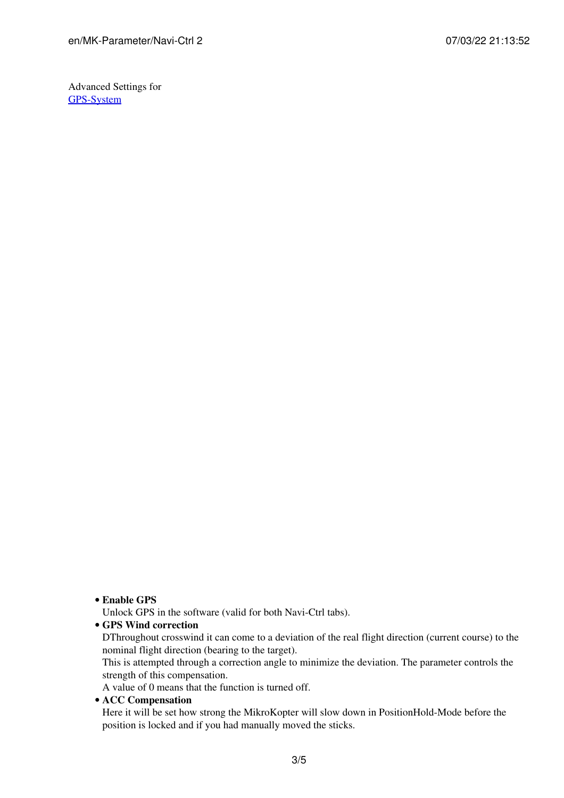Advanced Settings for [GPS-System](https://wiki.mikrokopter.de/en/GPS-System)

**Enable GPS** •

Unlock GPS in the software (valid for both Navi-Ctrl tabs).

#### **GPS Wind correction** •

DThroughout crosswind it can come to a deviation of the real flight direction (current course) to the nominal flight direction (bearing to the target).

This is attempted through a correction angle to minimize the deviation. The parameter controls the strength of this compensation.

A value of 0 means that the function is turned off.

#### **ACC Compensation** •

Here it will be set how strong the MikroKopter will slow down in PositionHold-Mode before the position is locked and if you had manually moved the sticks.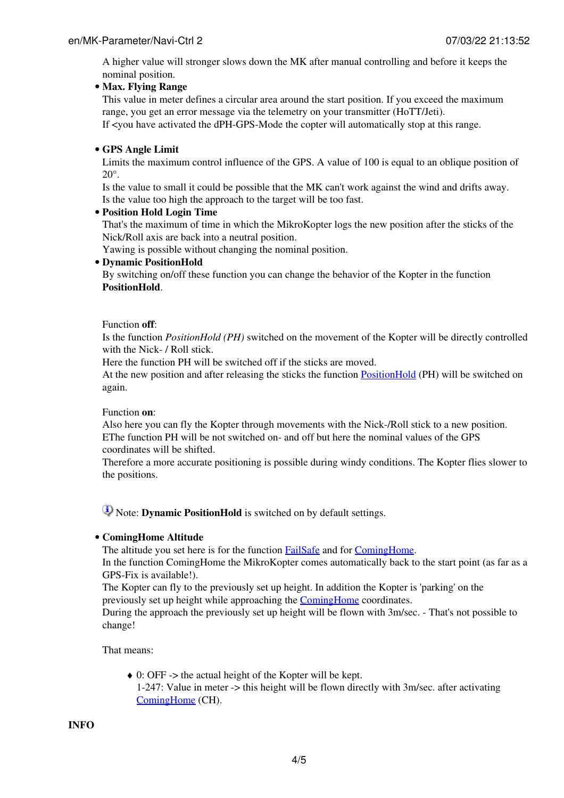A higher value will stronger slows down the MK after manual controlling and before it keeps the nominal position.

## **Max. Flying Range** •

This value in meter defines a circular area around the start position. If you exceed the maximum range, you get an error message via the telemetry on your transmitter (HoTT/Jeti). If <you have activated the dPH-GPS-Mode the copter will automatically stop at this range.

# **GPS Angle Limit** •

Limits the maximum control influence of the GPS. A value of 100 is equal to an oblique position of 20°.

Is the value to small it could be possible that the MK can't work against the wind and drifts away. Is the value too high the approach to the target will be too fast.

## **Position Hold Login Time** •

That's the maximum of time in which the MikroKopter logs the new position after the sticks of the Nick/Roll axis are back into a neutral position.

Yawing is possible without changing the nominal position.

## **Dynamic PositionHold** •

By switching on/off these function you can change the behavior of the Kopter in the function **PositionHold**.

#### Function **off**:

Is the function *PositionHold (PH)* switched on the movement of the Kopter will be directly controlled with the Nick- / Roll stick.

Here the function PH will be switched off if the sticks are moved.

At the new position and after releasing the sticks the function [PositionHold](https://wiki.mikrokopter.de/PositionHold) (PH) will be switched on again.

## Function **on**:

Also here you can fly the Kopter through movements with the Nick-/Roll stick to a new position. EThe function PH will be not switched on- and off but here the nominal values of the GPS coordinates will be shifted.

Therefore a more accurate positioning is possible during windy conditions. The Kopter flies slower to the positions.

Note: **Dynamic PositionHold** is switched on by default settings.

## **ComingHome Altitude** •

The altitude you set here is for the function **[FailSafe](https://wiki.mikrokopter.de/FailSafe)** and for **ComingHome**.

In the function ComingHome the MikroKopter comes automatically back to the start point (as far as a GPS-Fix is available!).

The Kopter can fly to the previously set up height. In addition the Kopter is 'parking' on the previously set up height while approaching the [ComingHome](https://wiki.mikrokopter.de/ComingHome) coordinates.

During the approach the previously set up height will be flown with 3m/sec. - That's not possible to change!

That means:

0: OFF -> the actual height of the Kopter will be kept. ♦ 1-247: Value in meter -> this height will be flown directly with 3m/sec. after activating [ComingHome](https://wiki.mikrokopter.de/ComingHome) (CH).

**INFO**